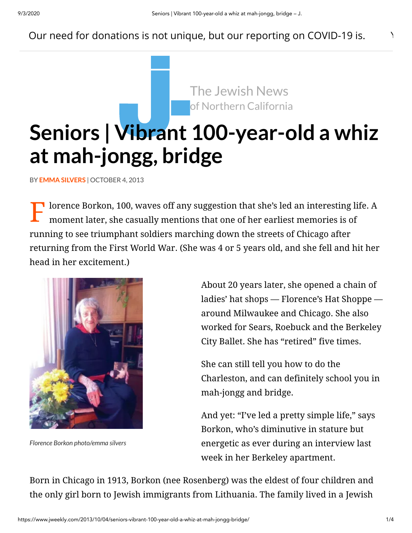## Our need for donations is not unique, but our reporting on COVID-19 is.  $\blacksquare$

The Jewish News of Northern California

# **Seniors | Vibrant [100-year-o](https://www.jweekly.com/)ld a whiz at mah-jongg, bridge**

BY **EMMA [SILVERS](https://www.jweekly.com/author/emma-silvers/)** | OCTOBER 4, 2013

The lorence Borkon, 100, waves off any suggestion that she's led an interesting life. A moment later, she casually mentions that one of her earliest memories is of moment later, she casually mentions that one of her earliest memories is of running to see triumphant soldiers marching down the streets of Chicago after returning from the First World War. (She was 4 or 5 years old, and she fell and hit her head in her excitement.)



*Florence Borkon photo/emma silvers*

About 20 years later, she opened a chain of ladies' hat shops — Florence's Hat Shoppe around Milwaukee and Chicago. She also worked for Sears, Roebuck and the Berkeley City Ballet. She has "retired" five times.

She can still tell you how to do the Charleston, and can definitely school you in mah-jongg and bridge.

And yet: "I've led a pretty simple life," says Borkon, who's diminutive in stature but energetic as ever during an interview last week in her Berkeley apartment.

Born in Chicago in 1913, Borkon (nee Rosenberg) was the eldest of four children and the only girl born to Jewish immigrants from Lithuania. The family lived in a Jewish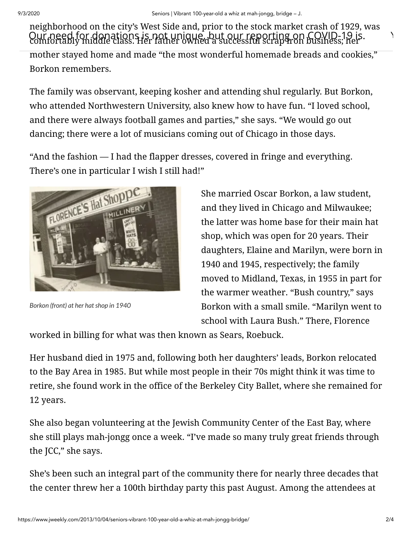neighborhood on the city's West Side and, prior to the stock market crash of 1929, was Our need for donations is not unique, but our reporting on COVID-19 is.<br>Comfortably middle class. Her father owned a successful scrap fron business; her

mother stayed home and made "the most wonderful homemade breads and cookies," Borkon remembers.

The family was observant, keeping kosher and attending shul regularly. But Borkon, who attended Northwestern University, also knew how to have fun. "I loved school, and there were always football games and parties," she says. "We would go out dancing; there were a lot of musicians coming out of Chicago in those days.

"And the fashion — I had the flapper dresses, covered in fringe and everything. There's one in particular I wish I still had!"



*Borkon (front) at her hatshop in 1940*

She married Oscar Borkon, a law student, and they lived in Chicago and Milwaukee; the latter was home base for their main hat shop, which was open for 20 years. Their daughters, Elaine and Marilyn, were born in 1940 and 1945, respectively; the family moved to Midland, Texas, in 1955 in part for the warmer weather. "Bush country," says Borkon with a small smile. "Marilyn went to school with Laura Bush." There, Florence

worked in billing for what was then known as Sears, Roebuck.

Her husband died in 1975 and, following both her daughters' leads, Borkon relocated to the Bay Area in 1985. But while most people in their 70s might think it was time to retire, she found work in the office of the Berkeley City Ballet, where she remained for 12 years.

She also began volunteering at the Jewish Community Center of the East Bay, where she still plays mah-jongg once a week. "I've made so many truly great friends through the JCC," she says.

She's been such an integral part of the community there for nearly three decades that the center threw her a 100th birthday party this past August. Among the attendees at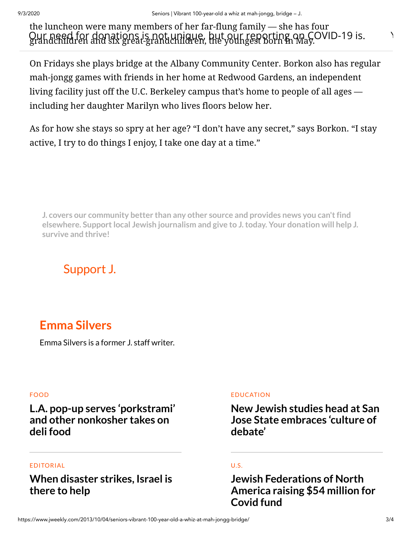the luncheon were many members of her far-flung family — she has four Our need for donations is not unique, but our reporting on COVID-19 is.<br>grandchildren and six great-grandchildren, the youngest born in May.

On Fridays she plays bridge at the Albany Community Center. Borkon also has regular mah-jongg games with friends in her home at Redwood Gardens, an independent living facility just off the U.C. Berkeley campus that's home to people of all ages including her daughter Marilyn who lives floors below her.

As for how she stays so spry at her age? "I don't have any secret," says Borkon. "I stay active, I try to do things I enjoy, I take one day at a time."

**J. covers our community better than any other source and provides news you can'tfind elsewhere. Supportlocal Jewish journalism and give to J.today. Your donation will help J. survive and thrive!**

# [Support](https://www.jweekly.com/donate/?utm_campaign=onsite_article) J.

# **Emma [Silvers](https://www.jweekly.com/author/emma-silvers/)**

Emma Silvers is a former J. staff writer.

#### [FOOD](https://www.jweekly.com/category/jewish-life/food/)

## **L.A. pop-up serves ['porkstrami'](https://www.jweekly.com/2020/09/03/los-angeles-pop-up-the-bad-jew-serves-porkstrami-and-other-nonkosher-takes-on-jewish-deli-food/) and other nonkosher takes on deli food**

#### [EDITORIAL](https://www.jweekly.com/category/opinion/editorials/)

## **When [disaster](https://www.jweekly.com/2020/09/03/when-disaster-strikes-israel-is-there-to-help/) strikes, Israel is there to help**

#### [EDUCATION](https://www.jweekly.com/category/education/)

**New Jewish studies head at San Jose State [embraces](https://www.jweekly.com/2020/09/03/new-jewish-studies-head-at-san-jose-state-embraces-culture-of-debate/) 'culture of debate'**

#### [U.S.](https://www.jweekly.com/category/news/u-s/)

**Jewish Federations of North [America raising](https://www.jweekly.com/2020/09/03/jewish-federations-of-north-america-raising-54-million-for-coronavirus-fund/) \$54 million for Covid fund**